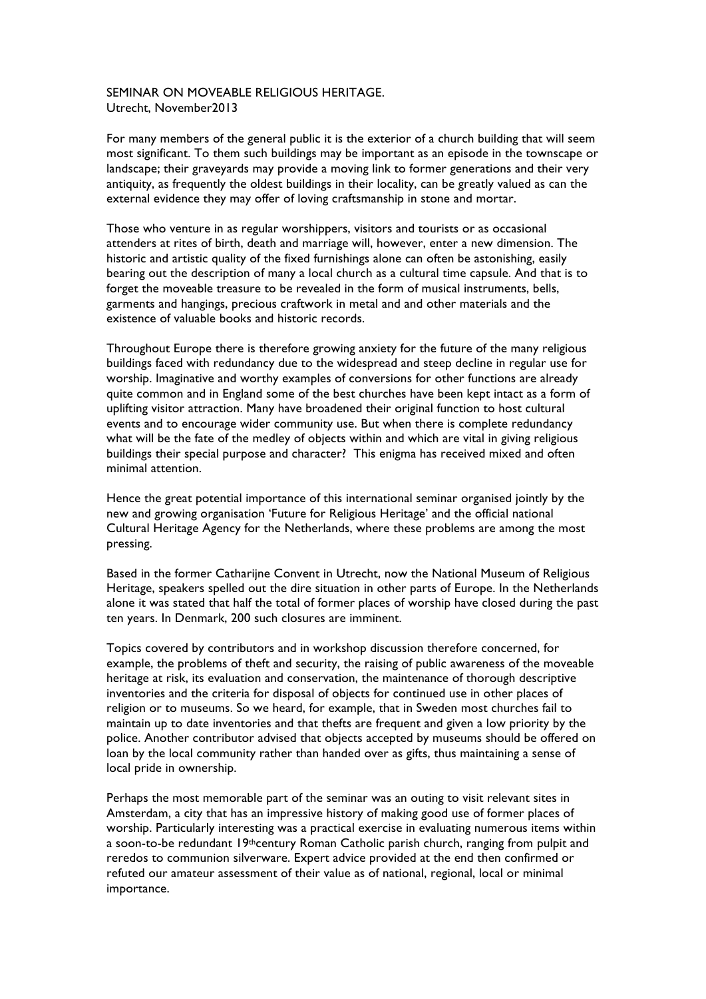## SEMINAR ON MOVEABLE RELIGIOUS HERITAGE. Utrecht, November2013

For many members of the general public it is the exterior of a church building that will seem most significant. To them such buildings may be important as an episode in the townscape or landscape; their graveyards may provide a moving link to former generations and their very antiquity, as frequently the oldest buildings in their locality, can be greatly valued as can the external evidence they may offer of loving craftsmanship in stone and mortar.

Those who venture in as regular worshippers, visitors and tourists or as occasional attenders at rites of birth, death and marriage will, however, enter a new dimension. The historic and artistic quality of the fixed furnishings alone can often be astonishing, easily bearing out the description of many a local church as a cultural time capsule. And that is to forget the moveable treasure to be revealed in the form of musical instruments, bells, garments and hangings, precious craftwork in metal and and other materials and the existence of valuable books and historic records.

Throughout Europe there is therefore growing anxiety for the future of the many religious buildings faced with redundancy due to the widespread and steep decline in regular use for worship. Imaginative and worthy examples of conversions for other functions are already quite common and in England some of the best churches have been kept intact as a form of uplifting visitor attraction. Many have broadened their original function to host cultural events and to encourage wider community use. But when there is complete redundancy what will be the fate of the medley of objects within and which are vital in giving religious buildings their special purpose and character? This enigma has received mixed and often minimal attention.

Hence the great potential importance of this international seminar organised jointly by the new and growing organisation 'Future for Religious Heritage' and the official national Cultural Heritage Agency for the Netherlands, where these problems are among the most pressing.

Based in the former Catharijne Convent in Utrecht, now the National Museum of Religious Heritage, speakers spelled out the dire situation in other parts of Europe. In the Netherlands alone it was stated that half the total of former places of worship have closed during the past ten years. In Denmark, 200 such closures are imminent.

Topics covered by contributors and in workshop discussion therefore concerned, for example, the problems of theft and security, the raising of public awareness of the moveable heritage at risk, its evaluation and conservation, the maintenance of thorough descriptive inventories and the criteria for disposal of objects for continued use in other places of religion or to museums. So we heard, for example, that in Sweden most churches fail to maintain up to date inventories and that thefts are frequent and given a low priority by the police. Another contributor advised that objects accepted by museums should be offered on loan by the local community rather than handed over as gifts, thus maintaining a sense of local pride in ownership.

Perhaps the most memorable part of the seminar was an outing to visit relevant sites in Amsterdam, a city that has an impressive history of making good use of former places of worship. Particularly interesting was a practical exercise in evaluating numerous items within a soon-to-be redundant 19thcentury Roman Catholic parish church, ranging from pulpit and reredos to communion silverware. Expert advice provided at the end then confirmed or refuted our amateur assessment of their value as of national, regional, local or minimal importance.